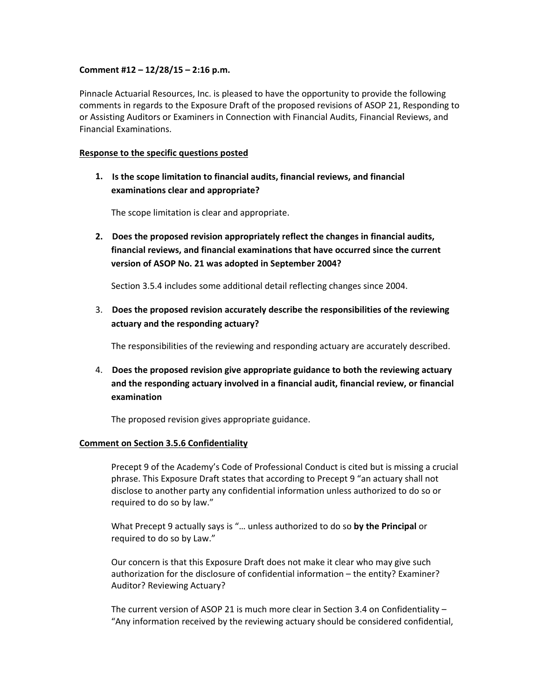## **Comment #12 – 12/28/15 – 2:16 p.m.**

Pinnacle Actuarial Resources, Inc. is pleased to have the opportunity to provide the following comments in regards to the Exposure Draft of the proposed revisions of ASOP 21, Responding to or Assisting Auditors or Examiners in Connection with Financial Audits, Financial Reviews, and Financial Examinations.

## **Response to the specific questions posted**

**1. Is the scope limitation to financial audits, financial reviews, and financial examinations clear and appropriate?**

The scope limitation is clear and appropriate.

**2. Does the proposed revision appropriately reflect the changes in financial audits, financial reviews, and financial examinations that have occurred since the current version of ASOP No. 21 was adopted in September 2004?**

Section 3.5.4 includes some additional detail reflecting changes since 2004.

3. **Does the proposed revision accurately describe the responsibilities of the reviewing actuary and the responding actuary?**

The responsibilities of the reviewing and responding actuary are accurately described.

4. **Does the proposed revision give appropriate guidance to both the reviewing actuary and the responding actuary involved in a financial audit, financial review, or financial examination**

The proposed revision gives appropriate guidance.

## **Comment on Section 3.5.6 Confidentiality**

Precept 9 of the Academy's Code of Professional Conduct is cited but is missing a crucial phrase. This Exposure Draft states that according to Precept 9 "an actuary shall not disclose to another party any confidential information unless authorized to do so or required to do so by law."

What Precept 9 actually says is "… unless authorized to do so **by the Principal** or required to do so by Law."

Our concern is that this Exposure Draft does not make it clear who may give such authorization for the disclosure of confidential information – the entity? Examiner? Auditor? Reviewing Actuary?

The current version of ASOP 21 is much more clear in Section 3.4 on Confidentiality – "Any information received by the reviewing actuary should be considered confidential,